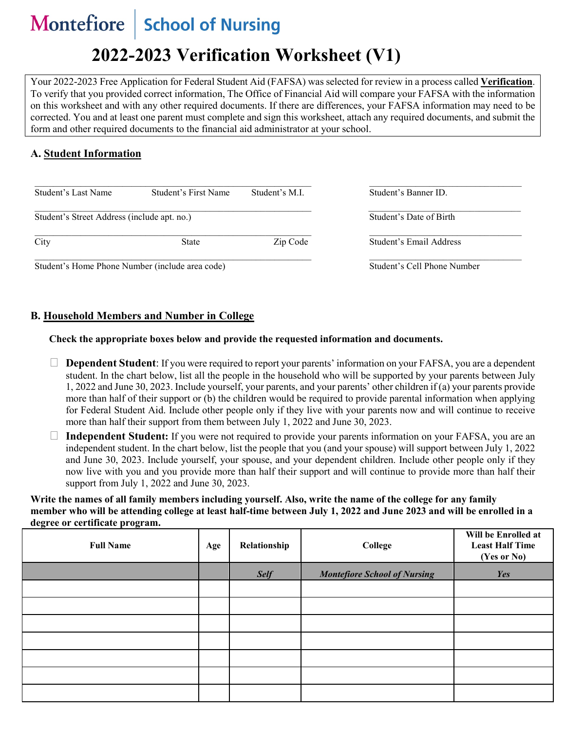#### **Montefiore** School of Nursing

# **2022-2023 Verification Worksheet (V1)**

Your 2022-2023 Free Application for Federal Student Aid (FAFSA) was selected for review in a process called **Verification**. To verify that you provided correct information, The Office of Financial Aid will compare your FAFSA with the information on this worksheet and with any other required documents. If there are differences, your FAFSA information may need to be corrected. You and at least one parent must complete and sign this worksheet, attach any required documents, and submit the form and other required documents to the financial aid administrator at your school.

## **A. Student Information**

| Student's Last Name                             | Student's First Name     | Student's M.I.              | Student's Banner ID.    |
|-------------------------------------------------|--------------------------|-----------------------------|-------------------------|
| Student's Street Address (include apt. no.)     |                          | Student's Date of Birth     |                         |
| City                                            | Zip Code<br><b>State</b> |                             | Student's Email Address |
| Student's Home Phone Number (include area code) |                          | Student's Cell Phone Number |                         |

Student's Home Phone Number (include area code) Student's Cell Phone Number

### **B. Household Members and Number in College**

#### **Check the appropriate boxes below and provide the requested information and documents.**

- **Dependent Student**: If you were required to report your parents' information on your FAFSA, you are a dependent student. In the chart below, list all the people in the household who will be supported by your parents between July 1, 2022 and June 30, 2023. Include yourself, your parents, and your parents' other children if (a) your parents provide more than half of their support or (b) the children would be required to provide parental information when applying for Federal Student Aid. Include other people only if they live with your parents now and will continue to receive more than half their support from them between July 1, 2022 and June 30, 2023.
- **Independent Student:** If you were not required to provide your parents information on your FAFSA, you are an independent student. In the chart below, list the people that you (and your spouse) will support between July 1, 2022 and June 30, 2023. Include yourself, your spouse, and your dependent children. Include other people only if they now live with you and you provide more than half their support and will continue to provide more than half their support from July 1, 2022 and June 30, 2023.

**Write the names of all family members including yourself. Also, write the name of the college for any family member who will be attending college at least half-time between July 1, 2022 and June 2023 and will be enrolled in a degree or certificate program.**

| <b>Full Name</b> | Age | Relationship | College                             | Will be Enrolled at<br><b>Least Half Time</b><br>(Yes or No) |
|------------------|-----|--------------|-------------------------------------|--------------------------------------------------------------|
|                  |     | <b>Self</b>  | <b>Montefiore School of Nursing</b> | Yes                                                          |
|                  |     |              |                                     |                                                              |
|                  |     |              |                                     |                                                              |
|                  |     |              |                                     |                                                              |
|                  |     |              |                                     |                                                              |
|                  |     |              |                                     |                                                              |
|                  |     |              |                                     |                                                              |
|                  |     |              |                                     |                                                              |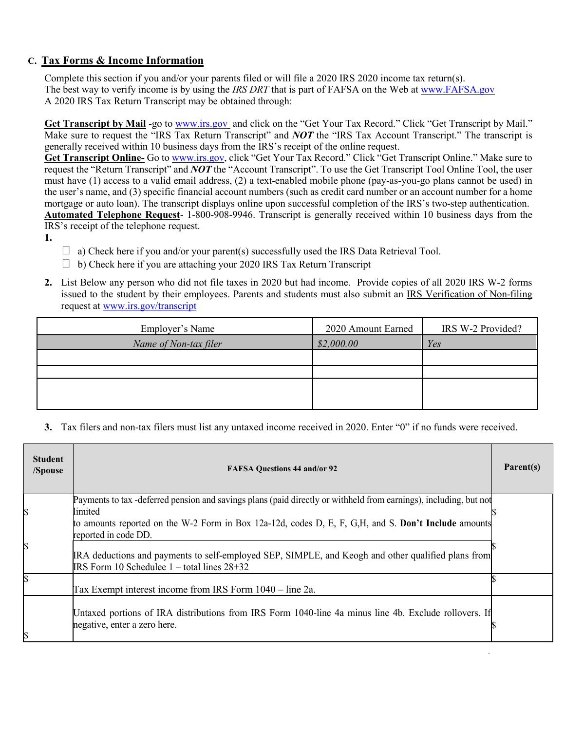## **C. Tax Forms & Income Information**

Complete this section if you and/or your parents filed or will file a 2020 IRS 2020 income tax return(s). The best way to verify income is by using the *IRS DRT* that is part of FAFSA on the Web at [www.FAFSA.gov](http://www.fafsa.gov/) A 2020 IRS Tax Return Transcript may be obtained through:

**Get Transcript by Mail** -go to [www.irs.gov](http://www.irs.gov/) and click on the "Get Your Tax Record." Click "Get Transcript by Mail." Make sure to request the "IRS Tax Return Transcript" and *NOT* the "IRS Tax Account Transcript." The transcript is generally received within 10 business days from the IRS's receipt of the online request.

**Get Transcript Online-** Go to [www.irs.gov,](http://www.irs.gov/) click "Get Your Tax Record." Click "Get Transcript Online." Make sure to request the "Return Transcript" and *NOT* the "Account Transcript". To use the Get Transcript Tool Online Tool, the user must have (1) access to a valid email address, (2) a text-enabled mobile phone (pay-as-you-go plans cannot be used) in the user's name, and (3) specific financial account numbers (such as credit card number or an account number for a home mortgage or auto loan). The transcript displays online upon successful completion of the IRS's two-step authentication. **Automated Telephone Request**- 1-800-908-9946. Transcript is generally received within 10 business days from the

IRS's receipt of the telephone request.

- **1.**
- $\Box$  a) Check here if you and/or your parent(s) successfully used the IRS Data Retrieval Tool.
- $\Box$  b) Check here if you are attaching your 2020 IRS Tax Return Transcript
- **2.** List Below any person who did not file taxes in 2020 but had income. Provide copies of all 2020 IRS W-2 forms issued to the student by their employees. Parents and students must also submit an IRS Verification of Non-filing request at [www.irs.gov/transcript](http://www.irs.gov/transcript)

| Employer's Name       | 2020 Amount Earned | IRS W-2 Provided? |
|-----------------------|--------------------|-------------------|
| Name of Non-tax filer | \$2,000.00         | Yes               |
|                       |                    |                   |
|                       |                    |                   |
|                       |                    |                   |
|                       |                    |                   |

**3.** Tax filers and non-tax filers must list any untaxed income received in 2020. Enter "0" if no funds were received.

| <b>Student</b><br>/Spouse | <b>FAFSA Questions 44 and/or 92</b>                                                                                                                                                                                                                           | Parent(s) |
|---------------------------|---------------------------------------------------------------------------------------------------------------------------------------------------------------------------------------------------------------------------------------------------------------|-----------|
| \$                        | Payments to tax -deferred pension and savings plans (paid directly or withheld from earnings), including, but not<br>limited<br>to amounts reported on the W-2 Form in Box 12a-12d, codes D, E, F, G, H, and S. Don't Include amounts<br>reported in code DD. |           |
| \$                        | IRA deductions and payments to self-employed SEP, SIMPLE, and Keogh and other qualified plans from<br>IRS Form 10 Schedulee $1 -$ total lines $28+32$                                                                                                         |           |
| \$                        | Tax Exempt interest income from IRS Form 1040 – line 2a.                                                                                                                                                                                                      |           |
| \$                        | Untaxed portions of IRA distributions from IRS Form 1040-line 4a minus line 4b. Exclude rollovers. If<br>negative, enter a zero here.                                                                                                                         |           |